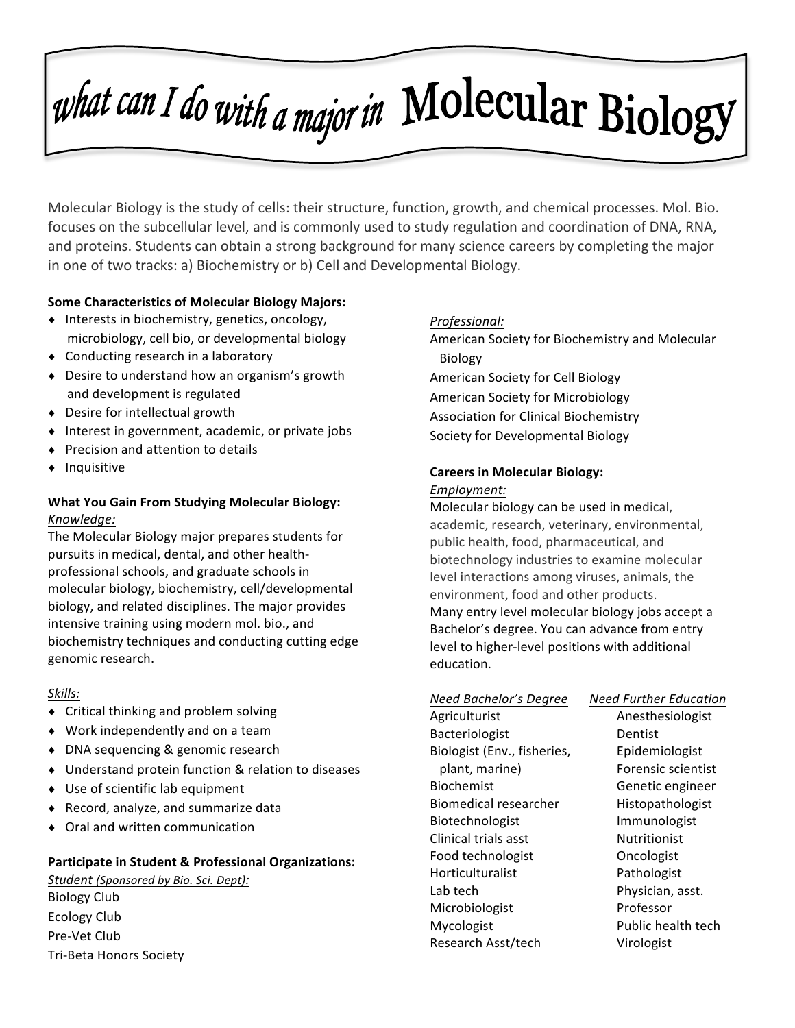# what can I do with a major in Molecular Biology

Molecular Biology is the study of cells: their structure, function, growth, and chemical processes. Mol. Bio. focuses on the subcellular level, and is commonly used to study regulation and coordination of DNA, RNA, and proteins. Students can obtain a strong background for many science careers by completing the major in one of two tracks: a) Biochemistry or b) Cell and Developmental Biology.

#### **Some Characteristics of Molecular Biology Majors:**

- $\bullet$  Interests in biochemistry, genetics, oncology, microbiology, cell bio, or developmental biology
- Conducting research in a laboratory
- $\bullet$  Desire to understand how an organism's growth and development is regulated
- $\bullet$  Desire for intellectual growth
- $\bullet$  Interest in government, academic, or private jobs
- Precision and attention to details
- ♦ Inquisitive

#### **What You Gain From Studying Molecular Biology:** *Knowledge:*

The Molecular Biology major prepares students for pursuits in medical, dental, and other healthprofessional schools, and graduate schools in molecular biology, biochemistry, cell/developmental biology, and related disciplines. The major provides intensive training using modern mol. bio., and biochemistry techniques and conducting cutting edge genomic research.

#### *Skills:*

- $\bullet$  Critical thinking and problem solving
- $\bullet$  Work independently and on a team
- ♦ DNA sequencing & genomic research
- ♦ Understand protein function & relation to diseases
- Use of scientific lab equipment
- $\triangleleft$  Record, analyze, and summarize data
- ◆ Oral and written communication

#### **Participate in Student & Professional Organizations:**

Student (Sponsored by Bio. Sci. Dept): Biology Club Ecology Club Pre-Vet Club Tri-Beta Honors Society 

#### *Professional:*

- American Society for Biochemistry and Molecular Biology
- American Society for Cell Biology
- American Society for Microbiology
- Association for Clinical Biochemistry
- Society for Developmental Biology

#### **Careers in Molecular Biology:**

#### *Employment:*

Molecular biology can be used in medical, academic, research, veterinary, environmental, public health, food, pharmaceutical, and biotechnology industries to examine molecular level interactions among viruses, animals, the environment, food and other products. Many entry level molecular biology jobs accept a Bachelor's degree. You can advance from entry level to higher-level positions with additional education. 

## *Need Bachelor's Degree Need Further Education*

Agriculturist **Anesthesiologist** Bacteriologist Dentist Biologist (Env., fisheries, Figure Epidemiologist plant, marine) Forensic scientist Biochemist Genetic engineer Biomedical researcher Histopathologist Biotechnologist Immunologist Clinical trials asst **Nutritionist** Food technologist **Concologist Oncologist** Horticulturalist Pathologist Lab tech **Physician**, asst. Microbiologist Professor Mycologist **Public health** tech Research Asst/tech Virologist